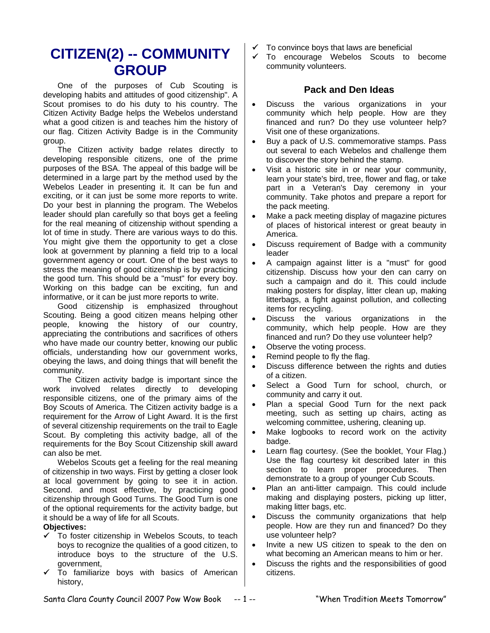# **CITIZEN(2) -- COMMUNITY GROUP**

One of the purposes of Cub Scouting is developing habits and attitudes of good citizenship". A Scout promises to do his duty to his country. The Citizen Activity Badge helps the Webelos understand what a good citizen is and teaches him the history of our flag. Citizen Activity Badge is in the Community group.

The Citizen activity badge relates directly to developing responsible citizens, one of the prime purposes of the BSA. The appeal of this badge will be determined in a large part by the method used by the Webelos Leader in presenting it. It can be fun and exciting, or it can just be some more reports to write. Do your best in planning the program. The Webelos leader should plan carefully so that boys get a feeling for the real meaning of citizenship without spending a lot of time in study. There are various ways to do this. You might give them the opportunity to get a close look at government by planning a field trip to a local government agency or court. One of the best ways to stress the meaning of good citizenship is by practicing the good turn. This should be a "must" for every boy. Working on this badge can be exciting, fun and informative, or it can be just more reports to write.

Good citizenship is emphasized throughout Scouting. Being a good citizen means helping other people, knowing the history of our country, appreciating the contributions and sacrifices of others who have made our country better, knowing our public officials, understanding how our government works, obeying the laws, and doing things that will benefit the community.

The Citizen activity badge is important since the work involved relates directly to developing responsible citizens, one of the primary aims of the Boy Scouts of America. The Citizen activity badge is a requirement for the Arrow of Light Award. It is the first of several citizenship requirements on the trail to Eagle Scout. By completing this activity badge, all of the requirements for the Boy Scout Citizenship skill award can also be met.

Webelos Scouts get a feeling for the real meaning of citizenship in two ways. First by getting a closer look at local government by going to see it in action. Second. and most effective, by practicing good citizenship through Good Turns. The Good Turn is one of the optional requirements for the activity badge, but it should be a way of life for all Scouts.

#### **Objectives:**

- $\checkmark$  To foster citizenship in Webelos Scouts, to teach boys to recognize the qualities of a good citizen, to introduce boys to the structure of the U.S. government,
- To familiarize boys with basics of American history,
- To convince boys that laws are beneficial
- 9 To encourage Webelos Scouts to become community volunteers.

## **Pack and Den Ideas**

- Discuss the various organizations in your community which help people. How are they financed and run? Do they use volunteer help? Visit one of these organizations.
- Buy a pack of U.S. commemorative stamps. Pass out several to each Webelos and challenge them to discover the story behind the stamp.
- Visit a historic site in or near your community, learn your state's bird, tree, flower and flag, or take part in a Veteran's Day ceremony in your community. Take photos and prepare a report for the pack meeting.
- Make a pack meeting display of magazine pictures of places of historical interest or great beauty in America.
- Discuss requirement of Badge with a community leader
- A campaign against litter is a "must" for good citizenship. Discuss how your den can carry on such a campaign and do it. This could include making posters for display, litter clean up, making litterbags, a fight against pollution, and collecting items for recycling.
- Discuss the various organizations in the community, which help people. How are they financed and run? Do they use volunteer help?
- Observe the voting process.
- Remind people to fly the flag.
- Discuss difference between the rights and duties of a citizen.
- Select a Good Turn for school, church, or community and carry it out.
- Plan a special Good Turn for the next pack meeting, such as setting up chairs, acting as welcoming committee, ushering, cleaning up.
- Make logbooks to record work on the activity badge.
- Learn flag courtesy. (See the booklet, Your Flag.) Use the flag courtesy kit described later in this section to learn proper procedures. Then demonstrate to a group of younger Cub Scouts.
- Plan an anti-litter campaign. This could include making and displaying posters, picking up litter, making litter bags, etc.
- Discuss the community organizations that help people. How are they run and financed? Do they use volunteer help?
- Invite a new US citizen to speak to the den on what becoming an American means to him or her.
- Discuss the rights and the responsibilities of good citizens.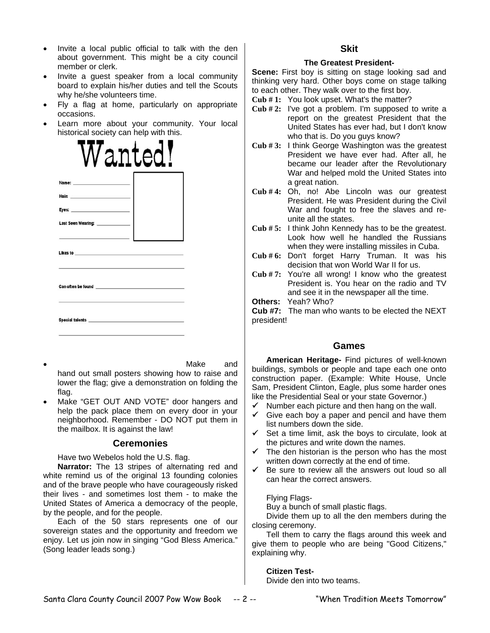- Invite a local public official to talk with the den about government. This might be a city council member or clerk.
- Invite a guest speaker from a local community board to explain his/her duties and tell the Scouts why he/she volunteers time.
- Fly a flag at home, particularly on appropriate occasions.
- Learn more about your community. Your local historical society can help with this.



- Make and hand out small posters showing how to raise and lower the flag; give a demonstration on folding the flag.
- Make "GET OUT AND VOTE" door hangers and help the pack place them on every door in your neighborhood. Remember - DO NOT put them in the mailbox. It is against the law!

#### **Ceremonies**

Have two Webelos hold the U.S. flag.

**Narrator:** The 13 stripes of alternating red and white remind us of the original 13 founding colonies and of the brave people who have courageously risked their lives - and sometimes lost them - to make the United States of America a democracy of the people, by the people, and for the people.

Each of the 50 stars represents one of our sovereign states and the opportunity and freedom we enjoy. Let us join now in singing "God Bless America." (Song leader leads song.)

## **Skit**

#### **The Greatest President-**

**Scene:** First boy is sitting on stage looking sad and thinking very hard. Other boys come on stage talking to each other. They walk over to the first boy.

- **Cub # 1:** You look upset. What's the matter?
- **Cub # 2:** I've got a problem. I'm supposed to write a report on the greatest President that the United States has ever had, but I don't know who that is. Do you guys know?
- **Cub # 3:** I think George Washington was the greatest President we have ever had. After all, he became our leader after the Revolutionary War and helped mold the United States into a great nation.
- **Cub # 4:** Oh, no! Abe Lincoln was our greatest President. He was President during the Civil War and fought to free the slaves and reunite all the states.
- **Cub # 5:** I think John Kennedy has to be the greatest. Look how well he handled the Russians when they were installing missiles in Cuba.
- **Cub # 6:** Don't forget Harry Truman. It was his decision that won World War II for us.
- **Cub # 7:** You're all wrong! I know who the greatest President is. You hear on the radio and TV and see it in the newspaper all the time.

**Others:** Yeah? Who?

**Cub #7:** The man who wants to be elected the NEXT president!

## **Games**

**American Heritage-** Find pictures of well-known buildings, symbols or people and tape each one onto construction paper. (Example: White House, Uncle Sam, President Clinton, Eagle, plus some harder ones like the Presidential Seal or your state Governor.)

- $\checkmark$  Number each picture and then hang on the wall.
- $\checkmark$  Give each boy a paper and pencil and have them list numbers down the side.
- $\checkmark$  Set a time limit, ask the boys to circulate, look at the pictures and write down the names.
- $\checkmark$  The den historian is the person who has the most written down correctly at the end of time.
- Be sure to review all the answers out loud so all can hear the correct answers.

#### Flying Flags-

Buy a bunch of small plastic flags.

Divide them up to all the den members during the closing ceremony.

Tell them to carry the flags around this week and give them to people who are being "Good Citizens," explaining why.

#### **Citizen Test-**

Divide den into two teams.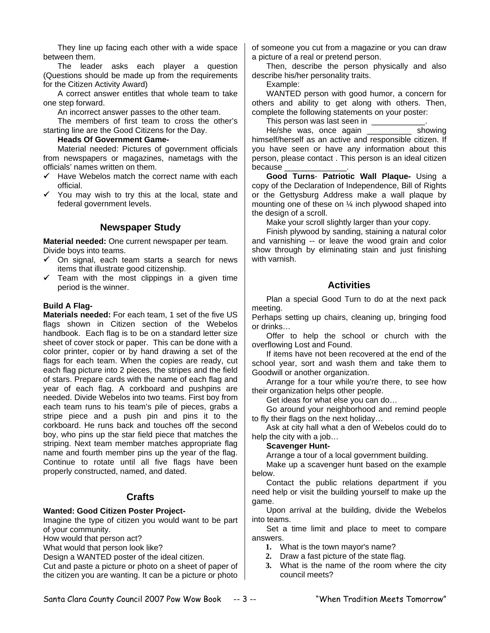They line up facing each other with a wide space between them.

The leader asks each player a question (Questions should be made up from the requirements for the Citizen Activity Award)

A correct answer entitles that whole team to take one step forward.

An incorrect answer passes to the other team.

The members of first team to cross the other's starting line are the Good Citizens for the Day.

#### **Heads Of Government Game-**

Material needed: Pictures of government officials from newspapers or magazines, nametags with the officials' names written on them.

- $\checkmark$  Have Webelos match the correct name with each official.
- $\checkmark$  You may wish to try this at the local, state and federal government levels.

# **Newspaper Study**

**Material needed:** One current newspaper per team. Divide boys into teams.

- $\checkmark$  On signal, each team starts a search for news items that illustrate good citizenship.
- $\checkmark$  Team with the most clippings in a given time period is the winner.

#### **Build A Flag-**

**Materials needed:** For each team, 1 set of the five US flags shown in Citizen section of the Webelos handbook. Each flag is to be on a standard letter size sheet of cover stock or paper. This can be done with a color printer, copier or by hand drawing a set of the flags for each team. When the copies are ready, cut each flag picture into 2 pieces, the stripes and the field of stars. Prepare cards with the name of each flag and year of each flag. A corkboard and pushpins are needed. Divide Webelos into two teams. First boy from each team runs to his team's pile of pieces, grabs a stripe piece and a push pin and pins it to the corkboard. He runs back and touches off the second boy, who pins up the star field piece that matches the striping. Next team member matches appropriate flag name and fourth member pins up the year of the flag. Continue to rotate until all five flags have been properly constructed, named, and dated.

## **Crafts**

#### **Wanted: Good Citizen Poster Project-**

Imagine the type of citizen you would want to be part of your community.

How would that person act?

What would that person look like?

Design a WANTED poster of the ideal citizen.

Cut and paste a picture or photo on a sheet of paper of the citizen you are wanting. It can be a picture or photo of someone you cut from a magazine or you can draw a picture of a real or pretend person.

Then, describe the person physically and also describe his/her personality traits.

Example:

WANTED person with good humor, a concern for others and ability to get along with others. Then, complete the following statements on your poster:

This person was last seen in

He/she was, once again **Example 18** showing himself/herself as an active and responsible citizen. If you have seen or have any information about this person, please contact . This person is an ideal citizen because

**Good Turns**- **Patriotic Wall Plaque-** Using a copy of the Declaration of Independence, Bill of Rights or the Gettysburg Address make a wall plaque by mounting one of these on ¼ inch plywood shaped into the design of a scroll.

Make your scroll slightly larger than your copy.

Finish plywood by sanding, staining a natural color and varnishing -- or leave the wood grain and color show through by eliminating stain and just finishing with varnish.

## **Activities**

Plan a special Good Turn to do at the next pack meeting.

Perhaps setting up chairs, cleaning up, bringing food or drinks…

Offer to help the school or church with the overflowing Lost and Found.

If items have not been recovered at the end of the school year, sort and wash them and take them to Goodwill or another organization.

Arrange for a tour while you're there, to see how their organization helps other people.

Get ideas for what else you can do…

Go around your neighborhood and remind people to fly their flags on the next holiday…

Ask at city hall what a den of Webelos could do to help the city with a job…

#### **Scavenger Hunt-**

Arrange a tour of a local government building.

Make up a scavenger hunt based on the example below.

Contact the public relations department if you need help or visit the building yourself to make up the game.

Upon arrival at the building, divide the Webelos into teams.

Set a time limit and place to meet to compare answers.

- **1.** What is the town mayor's name?
- **2.** Draw a fast picture of the state flag.
- **3.** What is the name of the room where the city council meets?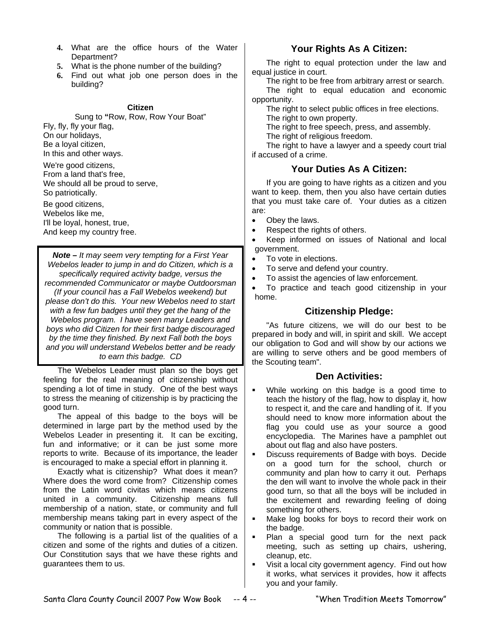- **4.** What are the office hours of the Water Department?
- **5.** What is the phone number of the building?
- **6.** Find out what job one person does in the building?

#### **Citizen**

Sung to **"**Row, Row, Row Your Boat" Fly, fly, fly your flag, On our holidays, Be a loyal citizen, In this and other ways. We're good citizens,

From a land that's free, We should all be proud to serve, So patriotically.

Be good citizens, Webelos like me, I'll be loyal, honest, true, And keep my country free.

*Note – It may seem very tempting for a First Year Webelos leader to jump in and do Citizen, which is a specifically required activity badge, versus the recommended Communicator or maybe Outdoorsman (If your council has a Fall Webelos weekend) but please don't do this. Your new Webelos need to start with a few fun badges until they get the hang of the Webelos program. I have seen many Leaders and boys who did Citizen for their first badge discouraged by the time they finished. By next Fall both the boys and you will understand Webelos better and be ready to earn this badge. CD* 

The Webelos Leader must plan so the boys get feeling for the real meaning of citizenship without spending a lot of time in study. One of the best ways to stress the meaning of citizenship is by practicing the good turn.

The appeal of this badge to the boys will be determined in large part by the method used by the Webelos Leader in presenting it. It can be exciting, fun and informative; or it can be just some more reports to write. Because of its importance, the leader is encouraged to make a special effort in planning it.

Exactly what is citizenship? What does it mean? Where does the word come from? Citizenship comes from the Latin word civitas which means citizens united in a community. Citizenship means full membership of a nation, state, or community and full membership means taking part in every aspect of the community or nation that is possible.

The following is a partial list of the qualities of a citizen and some of the rights and duties of a citizen. Our Constitution says that we have these rights and guarantees them to us.

## **Your Rights As A Citizen:**

The right to equal protection under the law and equal justice in court.

The right to be free from arbitrary arrest or search.

The right to equal education and economic opportunity.

The right to select public offices in free elections.

The right to own property.

The right to free speech, press, and assembly.

The right of religious freedom.

The right to have a lawyer and a speedy court trial if accused of a crime.

## **Your Duties As A Citizen:**

If you are going to have rights as a citizen and you want to keep. them, then you also have certain duties that you must take care of. Your duties as a citizen are:

- Obey the laws.
- Respect the rights of others.
- Keep informed on issues of National and local government.
- To vote in elections.
- To serve and defend your country.
- To assist the agencies of law enforcement.

• To practice and teach good citizenship in your home.

## **Citizenship Pledge:**

"As future citizens, we will do our best to be prepared in body and will, in spirit and skill. We accept our obligation to God and will show by our actions we are willing to serve others and be good members of the Scouting team".

#### **Den Activities:**

- While working on this badge is a good time to teach the history of the flag, how to display it, how to respect it, and the care and handling of it. If you should need to know more information about the flag you could use as your source a good encyclopedia. The Marines have a pamphlet out about out flag and also have posters.
- Discuss requirements of Badge with boys. Decide on a good turn for the school, church or community and plan how to carry it out. Perhaps the den will want to involve the whole pack in their good turn, so that all the boys will be included in the excitement and rewarding feeling of doing something for others.
- Make log books for boys to record their work on the badge.
- Plan a special good turn for the next pack meeting, such as setting up chairs, ushering, cleanup, etc.
- Visit a local city government agency. Find out how it works, what services it provides, how it affects you and your family.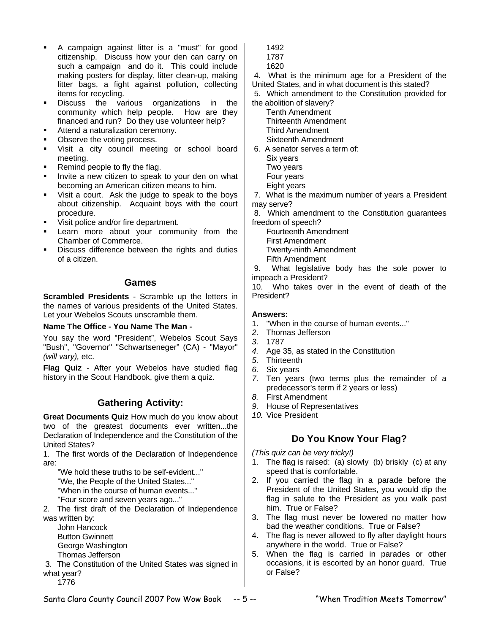- A campaign against litter is a "must" for good citizenship. Discuss how your den can carry on such a campaign and do it. This could include making posters for display, litter clean-up, making litter bags, a fight against pollution, collecting items for recycling.
- **Discuss** the various organizations in the community which help people. How are they financed and run? Do they use volunteer help?
- Attend a naturalization ceremony.
- Observe the voting process.
- **•** Visit a city council meeting or school board meeting.
- Remind people to fly the flag.
- Invite a new citizen to speak to your den on what becoming an American citizen means to him.
- Visit a court. Ask the judge to speak to the boys about citizenship. Acquaint boys with the court procedure.
- Visit police and/or fire department.
- Learn more about your community from the Chamber of Commerce.
- Discuss difference between the rights and duties of a citizen.

## **Games**

**Scrambled Presidents** - Scramble up the letters in the names of various presidents of the United States. Let your Webelos Scouts unscramble them.

#### **Name The Office - You Name The Man -**

You say the word "President", Webelos Scout Says "Bush", "Governor" "Schwartseneger" (CA) - "Mayor" *(will vary),* etc.

**Flag Quiz** - After your Webelos have studied flag history in the Scout Handbook, give them a quiz.

## **Gathering Activity:**

**Great Documents Quiz** How much do you know about two of the greatest documents ever written...the Declaration of Independence and the Constitution of the United States?

1. The first words of the Declaration of Independence are:

"We hold these truths to be self-evident..."

"We, the People of the United States..."

"When in the course of human events..."

"Four score and seven years ago..."

2. The first draft of the Declaration of Independence was written by:

John Hancock Button Gwinnett George Washington Thomas Jefferson

3. The Constitution of the United States was signed in what year?

1776

1492

- 1787
- 1620

4. What is the minimum age for a President of the United States, and in what document is this stated?

5. Which amendment to the Constitution provided for the abolition of slavery?

Tenth Amendment Thirteenth Amendment Third Amendment Sixteenth Amendment

 6. A senator serves a term of: Six years Two years Four years Eight years

7. What is the maximum number of years a President may serve?

8. Which amendment to the Constitution guarantees freedom of speech?

Fourteenth Amendment

First Amendment Twenty-ninth Amendment

Fifth Amendment

9. What legislative body has the sole power to impeach a President?

10. Who takes over in the event of death of the President?

#### **Answers:**

- 1. "When in the course of human events..."
- *2.* Thomas Jefferson
- *3.* 1787
- *4.* Age 35, as stated in the Constitution
- *5.* Thirteenth
- *6.* Six years
- *7.* Ten years (two terms plus the remainder of a predecessor's term if 2 years or less)
- *8.* First Amendment
- *9.* House of Representatives
- *10.* Vice President

# **Do You Know Your Flag?**

*(This quiz can be very tricky!)* 

- 1. The flag is raised: (a) slowly (b) briskly (c) at any speed that is comfortable.
- 2. If you carried the flag in a parade before the President of the United States, you would dip the flag in salute to the President as you walk past him. True or False?
- 3. The flag must never be lowered no matter how bad the weather conditions. True or False?
- 4. The flag is never allowed to fly after daylight hours anywhere in the world. True or False?
- 5. When the flag is carried in parades or other occasions, it is escorted by an honor guard. True or False?

Santa Clara County Council 2007 Pow Wow Book -- 5 -- "When Tradition Meets Tomorrow"